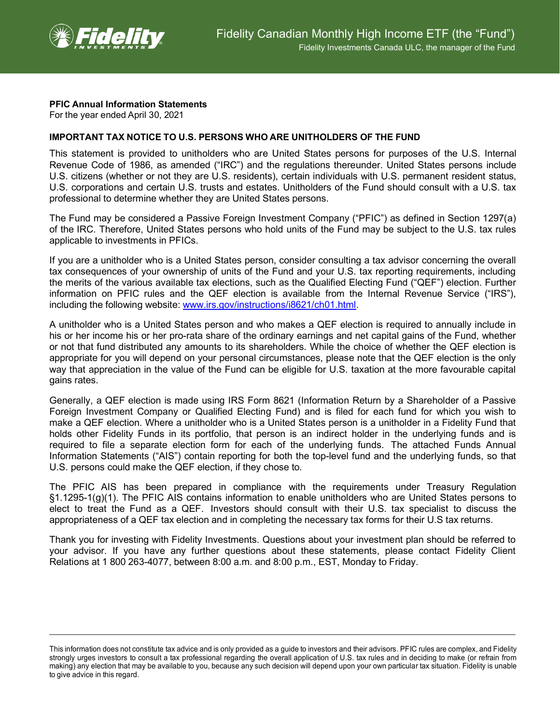

## **PFIC Annual Information Statements**

For the year ended April 30, 2021

## **IMPORTANT TAX NOTICE TO U.S. PERSONS WHO ARE UNITHOLDERS OF THE FUND**

This statement is provided to unitholders who are United States persons for purposes of the U.S. Internal Revenue Code of 1986, as amended ("IRC") and the regulations thereunder. United States persons include U.S. citizens (whether or not they are U.S. residents), certain individuals with U.S. permanent resident status, U.S. corporations and certain U.S. trusts and estates. Unitholders of the Fund should consult with a U.S. tax professional to determine whether they are United States persons.

The Fund may be considered a Passive Foreign Investment Company ("PFIC") as defined in Section 1297(a) of the IRC. Therefore, United States persons who hold units of the Fund may be subject to the U.S. tax rules applicable to investments in PFICs.

If you are a unitholder who is a United States person, consider consulting a tax advisor concerning the overall tax consequences of your ownership of units of the Fund and your U.S. tax reporting requirements, including the merits of the various available tax elections, such as the Qualified Electing Fund ("QEF") election. Further information on PFIC rules and the QEF election is available from the Internal Revenue Service ("IRS"), including the following website: [www.irs.gov/instructions/i8621/ch01.html.](http://www.irs.gov/instructions/i8621/ch01.html)

A unitholder who is a United States person and who makes a QEF election is required to annually include in his or her income his or her pro-rata share of the ordinary earnings and net capital gains of the Fund, whether or not that fund distributed any amounts to its shareholders. While the choice of whether the QEF election is appropriate for you will depend on your personal circumstances, please note that the QEF election is the only way that appreciation in the value of the Fund can be eligible for U.S. taxation at the more favourable capital gains rates.

Generally, a QEF election is made using IRS Form 8621 (Information Return by a Shareholder of a Passive Foreign Investment Company or Qualified Electing Fund) and is filed for each fund for which you wish to make a QEF election. Where a unitholder who is a United States person is a unitholder in a Fidelity Fund that holds other Fidelity Funds in its portfolio, that person is an indirect holder in the underlying funds and is required to file a separate election form for each of the underlying funds. The attached Funds Annual Information Statements ("AIS") contain reporting for both the top-level fund and the underlying funds, so that U.S. persons could make the QEF election, if they chose to.

The PFIC AIS has been prepared in compliance with the requirements under Treasury Regulation §1.1295-1(g)(1). The PFIC AIS contains information to enable unitholders who are United States persons to elect to treat the Fund as a QEF. Investors should consult with their U.S. tax specialist to discuss the appropriateness of a QEF tax election and in completing the necessary tax forms for their U.S tax returns.

Thank you for investing with Fidelity Investments. Questions about your investment plan should be referred to your advisor. If you have any further questions about these statements, please contact Fidelity Client Relations at 1 800 263-4077, between 8:00 a.m. and 8:00 p.m., EST, Monday to Friday.

This information does not constitute tax advice and is only provided as a guide to investors and their advisors. PFIC rules are complex, and Fidelity strongly urges investors to consult a tax professional regarding the overall application of U.S. tax rules and in deciding to make (or refrain from making) any election that may be available to you, because any such decision will depend upon your own particular tax situation. Fidelity is unable to give advice in this regard.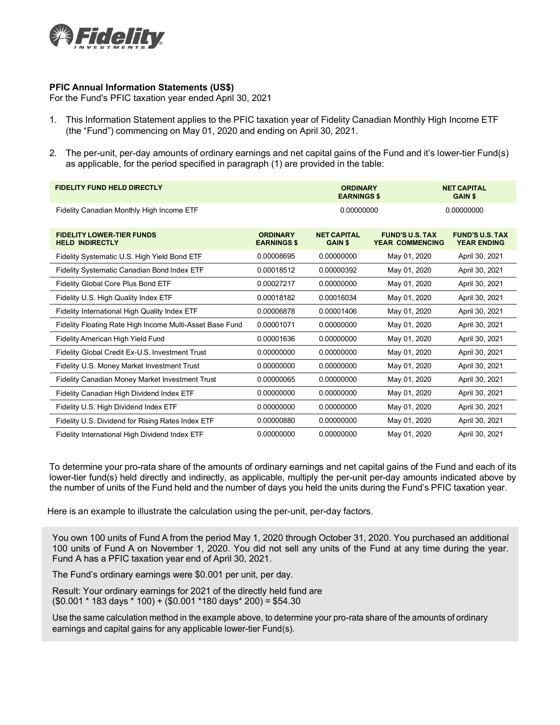

## **PFIC Annual Information Statements (US\$)**

For the Fund's PFIC taxation year ended April 30, 2021

- 1. This Information Statement applies to the PFIC taxation year of Fidelity Canadian Monthly High Income ETF (the "Fund") commencing on May 01, 2020 and ending on April 30, 2021.
- 2. The per-unit, per-day amounts of ordinary earnings and net capital gains of the Fund and it's lower-tier Fund(s) as applicable, for the period specified in paragraph (1) are provided in the table:

| <b>FIDELITY FUND HELD DIRECTLY</b>                         |                                       | <b>ORDINARY</b><br><b>EARNINGS \$</b> |                                                  | <b>NET CAPITAL</b><br><b>GAIN \$</b>         |
|------------------------------------------------------------|---------------------------------------|---------------------------------------|--------------------------------------------------|----------------------------------------------|
| Fidelity Canadian Monthly High Income ETF                  |                                       | 0.00000000                            |                                                  | 0.00000000                                   |
| <b>FIDELITY LOWER-TIER FUNDS</b><br><b>HELD INDIRECTLY</b> | <b>ORDINARY</b><br><b>EARNINGS \$</b> | <b>NET CAPITAL</b><br><b>GAIN \$</b>  | <b>FUND'S U.S. TAX</b><br><b>YEAR COMMENCING</b> | <b>FUND'S U.S. TAX</b><br><b>YEAR ENDING</b> |
| Fidelity Systematic U.S. High Yield Bond ETF               | 0.00008695                            | 0.00000000                            | May 01, 2020                                     | April 30, 2021                               |
| Fidelity Systematic Canadian Bond Index ETF                | 0.00018512                            | 0.00000392                            | May 01, 2020                                     | April 30, 2021                               |
| Fidelity Global Core Plus Bond ETF                         | 0.00027217                            | 0.00000000                            | May 01, 2020                                     | April 30, 2021                               |
| Fidelity U.S. High Quality Index ETF                       | 0.00018182                            | 0.00016034                            | May 01, 2020                                     | April 30, 2021                               |
| Fidelity International High Quality Index ETF              | 0.00006878                            | 0.00001406                            | May 01, 2020                                     | April 30, 2021                               |
| Fidelity Floating Rate High Income Multi-Asset Base Fund   | 0.00001071                            | 0.00000000                            | May 01, 2020                                     | April 30, 2021                               |
| Fidelity American High Yield Fund                          | 0.00001636                            | 0.00000000                            | May 01, 2020                                     | April 30, 2021                               |
| Fidelity Global Credit Ex-U.S. Investment Trust            | 0.00000000                            | 0.00000000                            | May 01, 2020                                     | April 30, 2021                               |
| Fidelity U.S. Money Market Investment Trust                | 0.00000000                            | 0.00000000                            | May 01, 2020                                     | April 30, 2021                               |
| Fidelity Canadian Money Market Investment Trust            | 0.00000065                            | 0.00000000                            | May 01, 2020                                     | April 30, 2021                               |
| Fidelity Canadian High Dividend Index ETF                  | 0.00000000                            | 0.00000000                            | May 01, 2020                                     | April 30, 2021                               |
| Fidelity U.S. High Dividend Index ETF                      | 0.00000000                            | 0.00000000                            | May 01, 2020                                     | April 30, 2021                               |
| Fidelity U.S. Dividend for Rising Rates Index ETF          | 0.00000880                            | 0.00000000                            | May 01, 2020                                     | April 30, 2021                               |
| Fidelity International High Dividend Index ETF             | 0.00000000                            | 0.00000000                            | May 01, 2020                                     | April 30, 2021                               |

To determine your pro-rata share of the amounts of ordinary earnings and net capital gains of the Fund and each of its lower-tier fund(s) held directly and indirectly, as applicable, multiply the per-unit per-day amounts indicated above by the number of units of the Fund held and the number of days you held the units during the Fund's PFIC taxation year.

Here is an example to illustrate the calculation using the per-unit, per-day factors.

You own 100 units of Fund A from the period May 1, 2020 through October 31, 2020. You purchased an additional 100 units of Fund A on November 1, 2020. You did not sell any units of the Fund at any time during the year. Fund A has a PFIC taxation year end of April 30, 2021.

The Fund's ordinary earnings were \$0.001 per unit, per day.

Result: Your ordinary earnings for 2021 of the directly held fund are (\$0.001 \* 183 days \* 100) + (\$0.001 \*180 days\* 200) = \$54.30

Use the same calculation method in the example above, to determine your pro-rata share of the amounts of ordinary earnings and capital gains for any applicable lower-tier Fund(s).